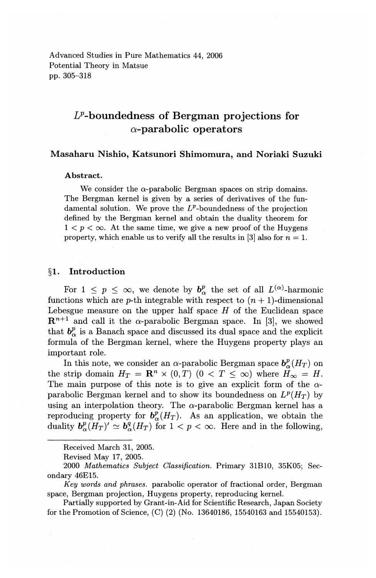Advanced Studies in Pure Mathematics 44, 2006 Potential Theory in Matsue pp. 305-318

# **£P-boundedness of Bergman projections for a-parabolic operators**

# **Masaharu Nishio, Katsunori Shimomura, and Noriaki Suzuki**

#### **Abstract.**

We consider the  $\alpha$ -parabolic Bergman spaces on strip domains. The Bergman kernel is given by a series of derivatives of the fundamental solution. We prove the  $L^p$ -boundedness of the projection defined by the Bergman kernel and obtain the duality theorem for  $1 < p < \infty$ . At the same time, we give a new proof of the Huygens property, which enable us to verify all the results in [3] also for  $n = 1$ .

#### **§1. Introduction**

For  $1 \leq p \leq \infty$ , we denote by  $b^p_\alpha$  the set of all  $L^{(\alpha)}$ -harmonic functions which are p-th integrable with respect to  $(n + 1)$ -dimensional Lebesgue measure on the upper half space  $H$  of the Euclidean space  $\mathbb{R}^{n+1}$  and call it the  $\alpha$ -parabolic Bergman space. In [3], we showed that  $b^p_\alpha$  is a Banach space and discussed its dual space and the explicit formula of the Bergman kernel, where the Huygens property plays an important role.

In this note, we consider an  $\alpha$ -parabolic Bergman space  $b^p_{\alpha}(H_T)$  on the strip domain  $H_T = \mathbb{R}^n \times (0,T)$   $(0 < T \leq \infty)$  where  $H_{\infty} = H$ . The main purpose of this note is to give an explicit form of the  $\alpha$ parabolic Bergman kernel and to show its boundedness on  $L^p(H_T)$  by using an interpolation theory. The  $\alpha$ -parabolic Bergman kernel has a reproducing property for  $b^p_{\alpha}(H_T)$ . As an application, we obtain the duality  $b^p_{\alpha}(H_T)' \simeq b^q_{\alpha}(H_T)$  for  $1 < p < \infty$ . Here and in the following,

Received March 31, 2005.

2000 *Mathematics Subject Classification.* Primary 31B10, 35K05; Secondary 46E15.

*Key words and phrases.* parabolic operator of fractional order, Bergman space, Bergman projection, Huygens property, reproducing kernel.

Partially supported by Grant-in-Aid for Scientific Research, Japan Society for the Promotion of Science, (C) (2) (No. 13640186, 15540163 and 15540153).

Revised May 17, 2005.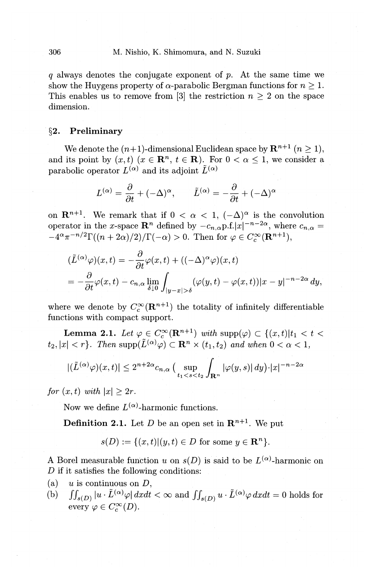q always denotes the conjugate exponent of p. At the same time we show the Huygens property of  $\alpha$ -parabolic Bergman functions for  $n \geq 1$ . This enables us to remove from [3] the restriction  $n \geq 2$  on the space dimension.

# **§2. Preliminary**

We denote the  $(n+1)$ -dimensional Euclidean space by  $\mathbb{R}^{n+1}$   $(n \geq 1)$ , and its point by  $(x, t)$   $(x \in \mathbb{R}^n, t \in \mathbb{R})$ . For  $0 < \alpha \leq 1$ , we consider a parabolic operator  $L^{(\alpha)}$  and its adjoint  $\tilde{L}^{(\alpha)}$ 

$$
L^{(\alpha)} = \frac{\partial}{\partial t} + (-\Delta)^{\alpha}, \qquad \tilde{L}^{(\alpha)} = -\frac{\partial}{\partial t} + (-\Delta)^{\alpha}
$$

on  $\mathbf{R}^{n+1}$ . We remark that if  $0 < \alpha < 1$ ,  $(-\Delta)^{\alpha}$  is the convolution operator in the x-space  $\mathbb{R}^n$  defined by  $-c_{n,\alpha}p.f.|x|^{-n-2\alpha}$ , where  $c_{n,\alpha} =$  $-4^{\alpha}\pi^{-n/2}\Gamma((n+2\alpha)/2)/\Gamma(-\alpha) > 0$ . Then for  $\varphi \in C_c^{\infty}(\mathbf{R}^{n+1}),$ 

$$
\begin{aligned} &(\tilde{L}^{(\alpha)}\varphi)(x,t)=-\frac{\partial}{\partial t}\varphi(x,t)+((-\Delta)^\alpha\varphi)(x,t)\\ &=-\frac{\partial}{\partial t}\varphi(x,t)-c_{n,\alpha}\lim_{\delta\downarrow 0}\int_{|y-x|>\delta}(\varphi(y,t)-\varphi(x,t))|x-y|^{-n-2\alpha}\,dy,\end{aligned}
$$

where we denote by  $C_c^{\infty}(\mathbf{R}^{n+1})$  the totality of infinitely differentiable functions with compact support.

**Lemma 2.1.** Let  $\varphi \in C_c^{\infty}(\mathbb{R}^{n+1})$  with  $\text{supp}(\varphi) \subset \{(x, t)|t_1 < t$  $t_2, |x| < r$ . Then  $\text{supp}(\tilde{L}^{(\alpha)}\varphi) \subset \mathbf{R}^n \times (t_1, t_2)$  and when  $0 < \alpha < 1$ ,

$$
|(\tilde{L}^{(\alpha)}\varphi)(x,t)| \le 2^{n+2\alpha} c_{n,\alpha} \left(\sup_{t_1
$$

*for*  $(x, t)$  *with*  $|x| \geq 2r$ .

Now we define  $L^{(\alpha)}$ -harmonic functions.

**Definition 2.1.** Let *D* be an open set in  $\mathbb{R}^{n+1}$ . We put

$$
s(D) := \{(x,t) | (y,t) \in D \text{ for some } y \in \mathbf{R}^n\}.
$$

A Borel measurable function *u* on  $s(D)$  is said to be  $L^{(\alpha)}$ -harmonic on D if it satisfies the following conditions:

- (a) *u* is continuous on *D,*
- (b)  $\iint_{s(D)} |u \cdot \tilde{L}^{(\alpha)} \varphi| dx dt < \infty$  and  $\iint_{s(D)} u \cdot \tilde{L}^{(\alpha)} \varphi dx dt = 0$  holds for every  $\varphi \in C_c^{\infty}(D)$ .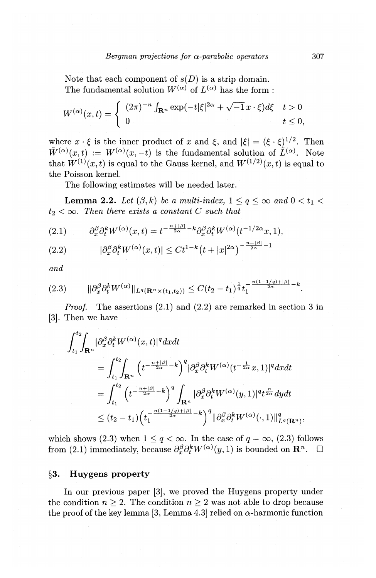Note that each component of  $s(D)$  is a strip domain. The fundamental solution  $W^{(\alpha)}$  of  $L^{(\alpha)}$  has the form:

$$
W^{(\alpha)}(x,t) = \begin{cases} (2\pi)^{-n} \int_{\mathbf{R}^n} \exp(-t|\xi|^{2\alpha} + \sqrt{-1}x \cdot \xi) d\xi & t > 0 \\ 0 & t \le 0, \end{cases}
$$

where  $x \cdot \xi$  is the inner product of *x* and  $\xi$ , and  $|\xi| = (\xi \cdot \xi)^{1/2}$ . Then  $\tilde{W}^{(\alpha)}(x,t) := W^{(\alpha)}(x,-t)$  is the fundamental solution of  $\tilde{L}^{(\alpha)}$ . Note that  $W^{(1)}(x,t)$  is equal to the Gauss kernel, and  $W^{(1/2)}(x,t)$  is equal to the Poisson kernel.

The following estimates will be needed later.

**Lemma 2.2.** Let  $(\beta, k)$  be a multi-index,  $1 \leq q \leq \infty$  and  $0 \leq t_1$  $t_2 < \infty$ . Then there exists a constant C such that

(2.1) 
$$
\partial_x^{\beta} \partial_t^k W^{(\alpha)}(x,t) = t^{-\frac{n+|\beta|}{2\alpha} - k} \partial_x^{\beta} \partial_t^k W^{(\alpha)}(t^{-1/2\alpha}x, 1),
$$

(2.2) 
$$
|\partial_x^{\beta} \partial_t^k W^{(\alpha)}(x,t)| \leq C t^{1-k} (t+|x|^{2\alpha})^{-\frac{n+|\beta|}{2\alpha}-1}
$$

*and* 

$$
(2.3) \qquad \|\partial_x^{\beta}\partial_t^k W^{(\alpha)}\|_{L^q(\mathbf{R}^n \times (t_1,t_2))} \leq C(t_2-t_1)^{\frac{1}{q}}t_1^{-\frac{n(1-1/q)+|\beta|}{2\alpha}-k}.
$$

*Proof.* The assertions (2.1) and (2.2) are remarked in section 3 in [3]. Then we have

$$
\begin{aligned} \int_{t_1}^{t_2}\!\!\!\int_{{\bf R}^n}|\partial_x^\beta \partial_t^k W^{(\alpha)}(x,t)|^q dx dt\,\\&=\int_{t_1}^{t_2}\!\!\!\int_{{\bf R}^n}\Big(t^{-\frac{n+|\beta|}{2\alpha}-k}\Big)^q|\partial_x^\beta \partial_t^k W^{(\alpha)}(t^{-\frac{1}{2\alpha}}x,1)|^q dx dt\\&=\int_{t_1}^{t_2}\Big(t^{-\frac{n+|\beta|}{2\alpha}-k}\Big)^q\int_{{\bf R}^n}|\partial_x^\beta \partial_t^k W^{(\alpha)}(y,1)|^q t^{\frac{n}{2\alpha}} dy dt\\&\leq (t_2-t_1)\Big(t_1^{-\frac{n(1-1/q)+|\beta|}{2\alpha}-k}\Big)^q\|\partial_x^\beta \partial_t^k W^{(\alpha)}(\cdot,1)\|^q_{L^q({\bf R}^n)}, \end{aligned}
$$

which shows (2.3) when  $1 \leq q < \infty$ . In the case of  $q = \infty$ , (2.3) follows from (2.1) immediately, because  $\partial_x^{\beta} \partial_t^k W^{(\alpha)}(y, 1)$  is bounded on  $\mathbb{R}^n$ .  $\Box$ 

#### **§3. Huygens property**

In our previous paper [3], we proved the Huygens property under the condition  $n \geq 2$ . The condition  $n \geq 2$  was not able to drop because the proof of the key lemma [3, Lemma 4.3] relied on  $\alpha$ -harmonic function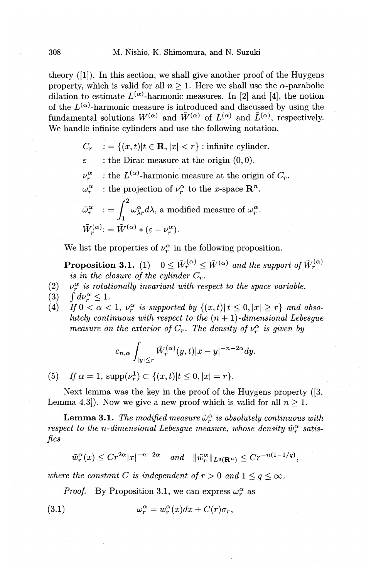theory ([1]). In this section, we shall give another proof of the Huygens property, which is valid for all  $n \geq 1$ . Here we shall use the  $\alpha$ -parabolic dilation to estimate  $L^{(\alpha)}$ -harmonic measures. In [2] and [4], the notion of the  $L^{(\alpha)}$ -harmonic measure is introduced and discussed by using the fundamental solutions  $W^{(\alpha)}$  and  $\tilde{W}^{(\alpha)}$  of  $L^{(\alpha)}$  and  $\tilde{L}^{(\alpha)}$ , respectively. We handle infinite cylinders and use the following notation.

- $C_r$  : =  $\{(x, t)|t \in \mathbf{R}, |x| < r\}$ : infinite cylinder.
- $\varepsilon$ : the Dirac measure at the origin  $(0,0)$ .
- $\nu_r^{\alpha}$  : the  $L^{(\alpha)}$ -harmonic measure at the origin of  $C_r$ .
- $\omega_r^{\alpha}$  : the projection of  $\nu_r^{\alpha}$  to the x-space  $\mathbf{R}^n$ .  $\tilde{\omega}_r^{\alpha}$  : =  $\int_{1}^{2} \omega_{\lambda r}^{\alpha} d\lambda$ , a modified measure of  $\omega_r^{\alpha}$ .  $\tilde{W}^{(\alpha)}$ : =  $\tilde{W}^{(\alpha)}$  \* ( $\varepsilon - \nu_{\alpha}^{\alpha}$ ).

We list the properties of  $\nu_r^{\alpha}$  in the following proposition.

**Proposition 3.1.** (1)  $0 \leq \tilde{W}_r^{(\alpha)} \leq \tilde{W}^{(\alpha)}$  and the support of  $\tilde{W}_r^{(\alpha)}$ *is in the closure of the cylinder*  $C_r$ .

- $(2)$  v<sub>r</sub><sup> $\alpha$ </sup> *is rotationally invariant with respect to the space variable.*
- (3)  $\int d\nu_r^{\alpha} \le 1$ .<br>(4)  $\int f \, 0 < \alpha$
- If  $0 < \alpha < 1$ ,  $\nu_r^{\alpha}$  is supported by  $\{(x,t) | t \leq 0, |x| \geq r\}$  and abso*lutely continuous with respect to the*  $(n + 1)$ -dimensional Lebesgue *measure on the exterior of*  $C_r$ *. The density of*  $\nu_r^{\alpha}$  *is given by*

$$
c_{n,\alpha}\int_{|y|\leq r}\tilde{W}^{(\alpha)}_r(y,t)|x-y|^{-n-2\alpha}dy.
$$

(5) If  $\alpha = 1$ ,  $\text{supp}(\nu_r^1) \subset \{(x,t)|t\leq 0, |x| = r\}.$ 

Next lemma was the key in the proof of the Huygens property ([3, Lemma 4.3.). Now we give a new proof which is valid for all  $n \geq 1$ .

**Lemma 3.1.** *The modified measure*  $\tilde{\omega}_r^{\alpha}$  *is absolutely continuous with respect to the n-dimensional Lebesgue measure, whose density*  $\tilde{w}_r^{\alpha}$  satis*fies* 

$$
\tilde{w}_r^{\alpha}(x) \le Cr^{2\alpha} |x|^{-n-2\alpha} \quad \text{and} \quad \|\tilde{w}_r^{\alpha}\|_{L^q(\mathbf{R}^n)} \le Cr^{-n(1-1/q)},
$$

*where the constant C is independent of*  $r > 0$  *and*  $1 \leq q \leq \infty$ .

*Proof.* By Proposition 3.1, we can express  $\omega_r^{\alpha}$  as

(3.1) 
$$
\omega_r^{\alpha} = w_r^{\alpha}(x)dx + C(r)\sigma_r,
$$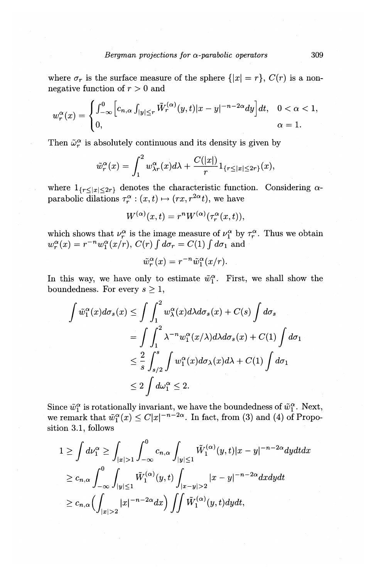where  $\sigma_r$  is the surface measure of the sphere  $\{|x| = r\}$ ,  $C(r)$  is a nonnegative function of *r* > 0 and

$$
w_r^{\alpha}(x) = \begin{cases} \int_{-\infty}^{0} \left[c_{n,\alpha} \int_{|y| \le r} \tilde{W}_r^{(\alpha)}(y,t) |x-y|^{-n-2\alpha} dy \right] dt, & 0 < \alpha < 1, \\ 0, & \alpha = 1. \end{cases}
$$

Then  $\tilde{\omega}_r^{\alpha}$  is absolutely continuous and its density is given by

$$
\tilde{w}_r^{\alpha}(x) = \int_1^2 w_{\lambda r}^{\alpha}(x) d\lambda + \frac{C(|x|)}{r} 1_{\{r \le |x| \le 2r\}}(x),
$$

where  $1_{\{r\leq|x|\leq2r\}}$  denotes the characteristic function. Considering  $\alpha$ parabolic dilations  $\tau_r^{\alpha}: (x, t) \mapsto (rx, r^{2\alpha}t)$ , we have

$$
W^{(\alpha)}(x,t) = r^n W^{(\alpha)}(\tau_r^{\alpha}(x,t)),
$$

which shows that  $\nu_r^{\alpha}$  is the image measure of  $\nu_1^{\alpha}$  by  $\tau_r^{\alpha}$ . Thus we obtain  $w_r^{\alpha}(x) = r^{-n}w_1^{\alpha}(x/r)$ ,  $C(r) \int d\sigma_r = C(1) \int d\sigma_1$  and

$$
\tilde{w}_r^{\alpha}(x) = r^{-n} \tilde{w}_1^{\alpha}(x/r).
$$

In this way, we have only to estimate  $\tilde{w}_1^{\alpha}$ . First, we shall show the boundedness. For every  $s\geq 1$ ,

$$
\int \tilde{w}_1^{\alpha}(x) d\sigma_s(x) \le \int \int_1^2 w_\lambda^{\alpha}(x) d\lambda d\sigma_s(x) + C(s) \int d\sigma_s
$$
  
= 
$$
\int \int_1^2 \lambda^{-n} w_1^{\alpha}(x/\lambda) d\lambda d\sigma_s(x) + C(1) \int d\sigma_1
$$
  

$$
\le \frac{2}{s} \int_{s/2}^s \int w_1^{\alpha}(x) d\sigma_\lambda(x) d\lambda + C(1) \int d\sigma_1
$$
  

$$
\le 2 \int d\omega_1^{\alpha} \le 2.
$$

Since  $\tilde{w}_1^{\alpha}$  is rotationally invariant, we have the boundedness of  $\tilde{w}_1^{\alpha}$ . Next, we remark that  $\tilde{w}_1^{\alpha}(x) \leq C|x|^{-n-2\alpha}$ . In fact, from (3) and (4) of Proposition 3.1, follows

$$
1 \geq \int d\nu_1^{\alpha} \geq \int_{|x|>1} \int_{-\infty}^0 c_{n,\alpha} \int_{|y| \leq 1} \tilde{W}_1^{(\alpha)}(y,t) |x-y|^{-n-2\alpha} dy dt dx
$$
  
\n
$$
\geq c_{n,\alpha} \int_{-\infty}^0 \int_{|y| \leq 1} \tilde{W}_1^{(\alpha)}(y,t) \int_{|x-y|>2} |x-y|^{-n-2\alpha} dx dy dt
$$
  
\n
$$
\geq c_{n,\alpha} \Biggl( \int_{|x|>2} |x|^{-n-2\alpha} dx \Biggr) \iint \tilde{W}_1^{(\alpha)}(y,t) dy dt,
$$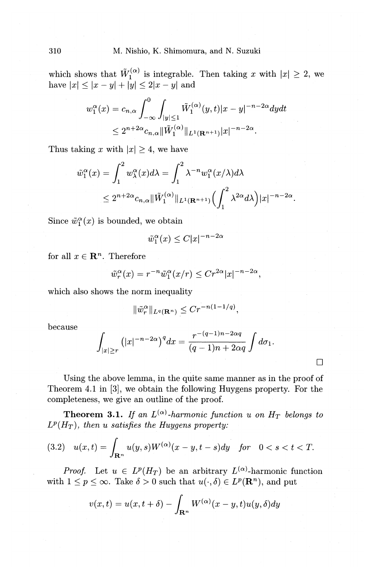which shows that  $\tilde{W}_1^{(\alpha)}$  is integrable. Then taking x with  $|x| \geq 2$ , we have  $|x| \le |x - y| + |y| \le 2|x - y|$  and

$$
w_1^{\alpha}(x) = c_{n,\alpha} \int_{-\infty}^0 \int_{|y| \le 1} \tilde{W}_1^{(\alpha)}(y,t) |x - y|^{-n-2\alpha} dy dt
$$
  

$$
\le 2^{n+2\alpha} c_{n,\alpha} \|\tilde{W}_1^{(\alpha)}\|_{L^1(\mathbf{R}^{n+1})}|x|^{-n-2\alpha}.
$$

Thus taking x with  $|x| \geq 4$ , we have

$$
\tilde{w}_1^{\alpha}(x) = \int_1^2 w_{\lambda}^{\alpha}(x) d\lambda = \int_1^2 \lambda^{-n} w_1^{\alpha}(x/\lambda) d\lambda
$$
  

$$
\leq 2^{n+2\alpha} c_{n,\alpha} \|\tilde{W}_1^{(\alpha)}\|_{L^1(\mathbf{R}^{n+1})} \left(\int_1^2 \lambda^{2\alpha} d\lambda\right) |x|^{-n-2\alpha}.
$$

Since  $\tilde{w}_1^{\alpha}(x)$  is bounded, we obtain

$$
\tilde{w}_1^{\alpha}(x) \le C|x|^{-n-2\alpha}
$$

for all  $x \in \mathbb{R}^n$ . Therefore

$$
\tilde{w}_r^{\alpha}(x) = r^{-n} \tilde{w}_1^{\alpha}(x/r) \le C r^{2\alpha} |x|^{-n-2\alpha},
$$

which also shows the norm inequality

$$
\|\tilde{w}_r^{\alpha}\|_{L^q(\mathbf{R}^n)} \leq C r^{-n(1-1/q)},
$$

because

$$
\int_{|x|\geq r} (|x|^{-n-2\alpha})^q dx = \frac{r^{-(q-1)n-2\alpha q}}{(q-1)n+2\alpha q} \int d\sigma_1.
$$

 $\Box$ 

Using the above lemma, in the quite same manner as in the proof of Theorem 4.1 in [3], we obtain the following Huygens property. For the completeness, we give an outline of the proof.

**Theorem 3.1.** If an  $L^{(\alpha)}$ -harmonic function u on  $H_T$  belongs to  $L^p(H_T)$ , then u satisfies the Huygens property:

$$
(3.2) \quad u(x,t) = \int_{\mathbf{R}^n} u(y,s)W^{(\alpha)}(x-y,t-s)dy \quad \text{for} \quad 0 < s < t < T.
$$

*Proof.* Let  $u \in L^p(H_T)$  be an arbitrary  $L^{(\alpha)}$ -harmonic function with  $1 \leq p \leq \infty$ . Take  $\delta > 0$  such that  $u(\cdot, \delta) \in L^p(\mathbf{R}^n)$ , and put

$$
v(x,t) = u(x,t+\delta) - \int_{\mathbf{R}^n} W^{(\alpha)}(x-y,t)u(y,\delta)dy
$$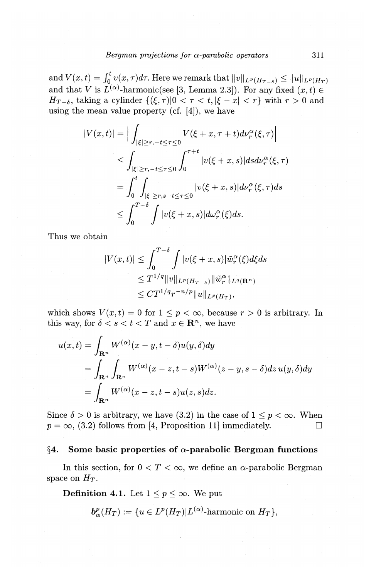and  $V(x,t) = \int_0^t v(x,\tau)d\tau$ . Here we remark that  $||v||_{L^p(H_{T-\delta})} \le ||u||_{L^p(H_T)}$ and that V is  $L^{(\alpha)}$ -harmonic(see [3, Lemma 2.3]). For any fixed  $(x, t) \in$  $H_{T-\delta}$ , taking a cylinder  $\{(\xi, \tau)|0 < \tau < t, |\xi - x| < r\}$  with  $r > 0$  and using the mean value property (cf.  $[4]$ ), we have

$$
|V(x,t)| = \Big| \int_{|\xi| \ge r, -t \le \tau \le 0} V(\xi + x, \tau + t) d\nu_r^{\alpha}(\xi, \tau) \Big|
$$
  
\n
$$
\le \int_{|\xi| \ge r, -t \le \tau \le 0} \int_0^{\tau + t} |v(\xi + x, s)| ds d\nu_r^{\alpha}(\xi, \tau)
$$
  
\n
$$
= \int_0^t \int_{|\xi| \ge r, s - t \le \tau \le 0} |v(\xi + x, s)| d\nu_r^{\alpha}(\xi, \tau) ds
$$
  
\n
$$
\le \int_0^{T - \delta} \int |v(\xi + x, s)| d\omega_r^{\alpha}(\xi) ds.
$$

Thus we obtain

$$
|V(x,t)| \leq \int_0^{T-\delta} \int |v(\xi+x,s)| \tilde{w}_r^{\alpha}(\xi) d\xi ds
$$
  
\n
$$
\leq T^{1/q} \|v\|_{L^p(H_{T-\delta})} \|\tilde{w}_r^{\alpha}\|_{L^q(\mathbf{R}^n)}
$$
  
\n
$$
\leq C T^{1/q} r^{-n/p} \|u\|_{L^p(H_T)},
$$

which shows  $V(x, t) = 0$  for  $1 \leq p < \infty$ , because  $r > 0$  is arbitrary. In this way, for  $\delta < s < t < T$  and  $x \in \mathbb{R}^n$ , we have

$$
u(x,t) = \int_{\mathbf{R}^n} W^{(\alpha)}(x-y, t-\delta)u(y, \delta)dy
$$
  
= 
$$
\int_{\mathbf{R}^n} \int_{\mathbf{R}^n} W^{(\alpha)}(x-z, t-s)W^{(\alpha)}(z-y, s-\delta)dz u(y, \delta)dy
$$
  
= 
$$
\int_{\mathbf{R}^n} W^{(\alpha)}(x-z, t-s)u(z, s)dz.
$$

Since  $\delta > 0$  is arbitrary, we have (3.2) in the case of  $1 \leq p < \infty$ . When  $p = \infty$ , (3.2) follows from [4, Proposition 11] immediately.

#### **§4. Some basic properties of a-parabolic Bergman functions**

In this section, for  $0 < T < \infty$ , we define an  $\alpha$ -parabolic Bergman space on  $H_T$ .

**Definition 4.1.** Let  $1 \leq p \leq \infty$ . We put

$$
\mathbf{b}_{\alpha}^{p}(H_{T}) := \{ u \in L^{p}(H_{T}) | L^{(\alpha)}\text{-harmonic on } H_{T} \},
$$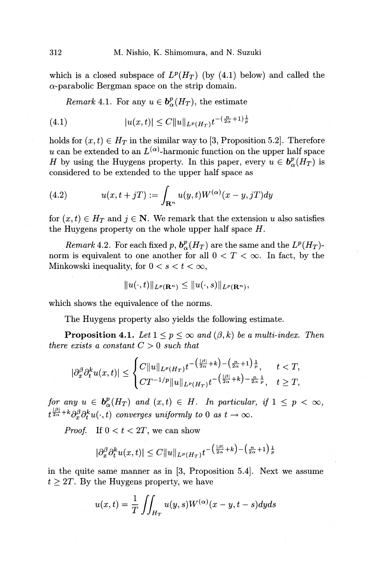which is a closed subspace of  $L^p(H_T)$  (by (4.1) below) and called the  $\alpha$ -parabolic Bergman space on the strip domain.

*Remark* 4.1. For any  $u \in b^p_{\alpha}(H_T)$ , the estimate

$$
(4.1) \t\t |u(x,t)| \leq C \|u\|_{L^p(H_T)} t^{-(\frac{n}{2\alpha}+1)\frac{1}{p}}
$$

holds for  $(x, t) \in H_T$  in the similar way to [3, Proposition 5.2]. Therefore *u* can be extended to an  $L^{(\alpha)}$ -harmonic function on the upper half space *H* by using the Huygens property. In this paper, every  $u \in b^p_{\alpha}(H_T)$  is considered to be extended to the upper half space as

(4.2) 
$$
u(x, t+jT) := \int_{\mathbf{R}^n} u(y, t) W^{(\alpha)}(x-y, jT) dy
$$

for  $(x, t) \in H_T$  and  $j \in \mathbb{N}$ . We remark that the extension *u* also satisfies the Huygens property on the whole upper half space H.

*Remark* 4.2. For each fixed p,  $b^p_{\alpha}(H_T)$  are the same and the  $L^p(H_T)$ norm is equivalent to one another for all  $0 < T < \infty$ . In fact, by the Minkowski inequality, for  $0 < s < t < \infty$ ,

$$
||u(\cdot,t)||_{L^p(\mathbf{R}^n)} \leq ||u(\cdot,s)||_{L^p(\mathbf{R}^n)},
$$

which shows the equivalence of the norms.

The Huygens property also yields the following estimate.

**Proposition 4.1.** Let  $1 \leq p \leq \infty$  and  $(\beta, k)$  be a multi-index. Then *there exists a constant*  $C > 0$  *such that* 

$$
|\partial_x^{\beta} \partial_t^k u(x,t)| \leq \begin{cases} C \|u\|_{L^p(H_T)} t^{-\left(\frac{|\beta|}{2\alpha}+k\right)-\left(\frac{n}{2\alpha}+1\right)\frac{1}{p}}, & t < T, \\ C T^{-1/p} \|u\|_{L^p(H_T)} t^{-\left(\frac{|\beta|}{2\alpha}+k\right)-\frac{n}{2\alpha}\frac{1}{p}}, & t \geq T, \end{cases}
$$

*for any*  $u \in b^p_\alpha(H_T)$  *and*  $(x, t) \in H$ . *In particular, if*  $1 \leq p < \infty$ ,  $t^{\frac{|\beta|}{2\alpha}+k}\partial_x^{\beta}\partial_t^k u(\cdot,t)$  converges uniformly to 0 as  $t\to\infty$ .

*Proof.* If  $0 < t < 2T$ , we can show

$$
|\partial_x^{\beta} \partial_t^k u(x,t)| \leq C \|u\|_{L^p(H_T)} t^{-\left(\frac{|\beta|}{2\alpha}+k\right)-\left(\frac{n}{2\alpha}+1\right)\frac{1}{p}}
$$

in the quite same manner as in [3, Proposition 5.4]. Next we assume  $t \geq 2T$ . By the Huygens property, we have

$$
u(x,t) = \frac{1}{T} \iint_{H_T} u(y,s)W^{(\alpha)}(x-y,t-s)dyds
$$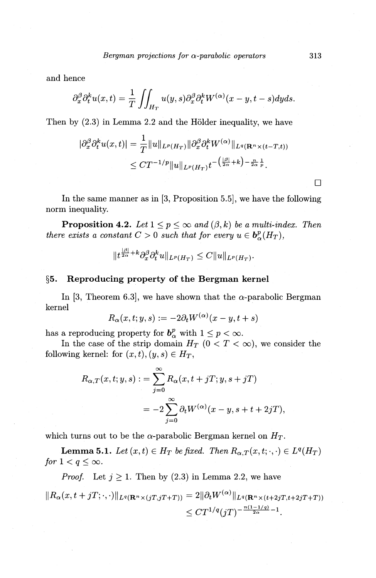and hence

$$
\partial_x^{\beta} \partial_t^k u(x,t) = \frac{1}{T} \iint_{H_T} u(y,s) \partial_x^{\beta} \partial_t^k W^{(\alpha)}(x-y,t-s) dy ds.
$$

Then by  $(2.3)$  in Lemma 2.2 and the Hölder inequality, we have

$$
\begin{aligned} |\partial_x^{\beta} \partial_t^k u(x,t)| &= \frac{1}{T} ||u||_{L^p(H_T)} ||\partial_x^{\beta} \partial_t^k W^{(\alpha)} ||_{L^q(\mathbf{R}^n \times (t-T,t))} \\ &\leq C T^{-1/p} ||u||_{L^p(H_T)} t^{-\left(\frac{|\beta|}{2\alpha} + k\right) - \frac{n}{2\alpha} \frac{1}{p}} .\end{aligned}
$$

In the same manner as in [3, Proposition 5.5], we have the following norm inequality.

**Proposition 4.2.** *Let*  $1 \leq p \leq \infty$  *and*  $(\beta, k)$  *be a multi-index. Then there exists a constant*  $C > 0$  *such that for every*  $u \in b^p_{\alpha}(H_T)$ *,* 

$$
||t^{\frac{|\beta|}{2\alpha}+k}\partial_x^{\beta}\partial_t^k u||_{L^p(H_T)}\leq C||u||_{L^p(H_T)}.
$$

### **§5. Reproducing property of the Bergman kernel**

In [3, Theorem 6.3], we have shown that the  $\alpha$ -parabolic Bergman kernel

$$
R_\alpha(x,t;y,s):=-2\partial_t W^{(\alpha)}(x-y,t+s)
$$

has a reproducing property for  $b^p_\alpha$  with  $1 \leq p < \infty$ .

In the case of the strip domain  $H_T$  ( $0 < T < \infty$ ), we consider the following kernel: for  $(x, t), (y, s) \in H_T$ ,

$$
R_{\alpha,T}(x,t;y,s) := \sum_{j=0}^{\infty} R_{\alpha}(x,t+jT;y,s+jT)
$$
  
= 
$$
-2\sum_{j=0}^{\infty} \partial_t W^{(\alpha)}(x-y,s+t+2jT),
$$

which turns out to be the  $\alpha$ -parabolic Bergman kernel on  $H_T$ .

**Lemma 5.1.** *Let*  $(x, t) \in H_T$  *be fixed. Then*  $R_{\alpha, T}(x, t; \cdot, \cdot) \in L^q(H_T)$ *for*  $1 < q \leq \infty$ .

*Proof.* Let  $j \ge 1$ . Then by (2.3) in Lemma 2.2, we have

$$
||R_{\alpha}(x,t+jT;\cdot,\cdot)||_{L^{q}(\mathbf{R}^{n}\times(jT,jT+T))}=2||\partial_{t}W^{(\alpha)}||_{L^{q}(\mathbf{R}^{n}\times(t+2jT,t+2jT+T))}
$$
  

$$
\leq CT^{1/q}(jT)^{-\frac{n(1-1/q)}{2\alpha}-1}.
$$

 $\Box$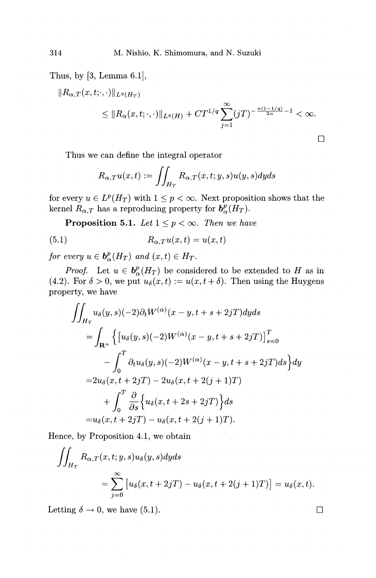Thus, by [3, Lemma 6.1],

$$
||R_{\alpha,T}(x,t;\cdot,\cdot)||_{L^{q}(H_{T})}
$$
  
\$\leq\$  $||R_{\alpha}(x,t;\cdot,\cdot)||_{L^{q}(H)} + CT^{1/q} \sum_{j=1}^{\infty} (jT)^{-\frac{n(1-1/q)}{2\alpha}-1} < \infty.$ 

Thus we can define the integral operator

$$
R_{\alpha,T}u(x,t):=\iint_{H_T}R_{\alpha,T}(x,t;y,s)u(y,s)dyds
$$

for every  $u \in L^p(H_T)$  with  $1 \leq p < \infty$ . Next proposition shows that the kernel  $R_{\alpha,T}$  has a reproducing property for  $b^p_{\alpha}(H_T)$ .

**Proposition 5.1.** *Let*  $1 \leq p < \infty$ . *Then we have* 

(5.1) 
$$
R_{\alpha,T}u(x,t) = u(x,t)
$$

*for every*  $u \in b^p_{\alpha}(H_T)$  *and*  $(x, t) \in H_T$ .

*Proof.* Let  $u \in b^p_\alpha(H_T)$  be considered to be extended to H as in (4.2). For  $\delta > 0$ , we put  $u_{\delta}(x, t) := u(x, t + \delta)$ . Then using the Huygens property, we have

$$
\iint_{H_T} u_{\delta}(y, s)(-2)\partial_t W^{(\alpha)}(x - y, t + s + 2jT) dyds
$$
\n
$$
= \int_{\mathbf{R}^n} \left\{ \left[ u_{\delta}(y, s)(-2)W^{(\alpha)}(x - y, t + s + 2jT) \right]_{s=0}^T - \int_0^T \partial_t u_{\delta}(y, s)(-2)W^{(\alpha)}(x - y, t + s + 2jT) ds \right\} dy
$$
\n
$$
= 2u_{\delta}(x, t + 2jT) - 2u_{\delta}(x, t + 2(j + 1)T)
$$
\n
$$
+ \int_0^T \frac{\partial}{\partial s} \left\{ u_{\delta}(x, t + 2s + 2jT) \right\} ds
$$
\n
$$
= u_{\delta}(x, t + 2jT) - u_{\delta}(x, t + 2(j + 1)T).
$$

Hence, by Proposition 4.1, we obtain

$$
\iint_{H_T} R_{\alpha,T}(x,t;y,s)u_{\delta}(y,s)dyds
$$
  
= 
$$
\sum_{j=0}^{\infty} [u_{\delta}(x,t+2jT) - u_{\delta}(x,t+2(j+1)T)] = u_{\delta}(x,t).
$$

Letting  $\delta \to 0$ , we have (5.1).

 $\Box$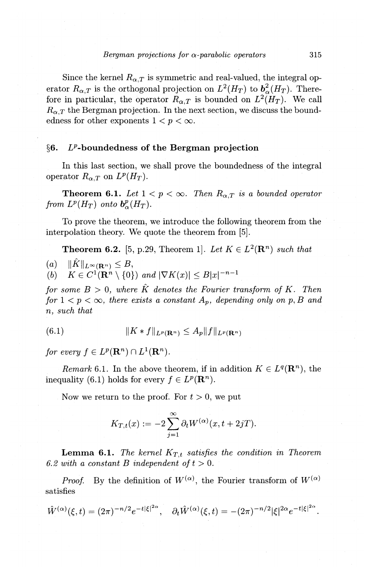Since the kernel  $R_{\alpha,T}$  is symmetric and real-valued, the integral operator  $R_{\alpha,T}$  is the orthogonal projection on  $L^2(H_T)$  to  $b^2_{\alpha}(H_T)$ . Therefore in particular, the operator  $R_{\alpha,T}$  is bounded on  $L^2(H_T)$ . We call  $R_{\alpha,T}$  the Bergman projection. In the next section, we discuss the boundedness for other exponents  $1 < p < \infty$ .

# **§6. £P-boundedness of the Bergman projection**

In this last section, we shall prove the boundedness of the integral operator  $R_{\alpha,T}$  on  $L^p(H_T)$ .

**Theorem 6.1.** Let  $1 < p < \infty$ . Then  $R_{\alpha,T}$  is a bounded operator *from*  $L^p(H_T)$  *onto*  $\mathbf{b}_\alpha^p(H_T)$ *.* 

To prove the theorem, we introduce the following theorem from the interpolation theory. We quote the theorem from [5].

**Theorem 6.2.** [5, p.29, Theorem 1]. Let  $K \in L^2(\mathbb{R}^n)$  *such that* 

 $(a)$   $\|\hat{K}\|_{L^{\infty}(\mathbf{R}^n)} \leq B,$ 

(b)  $K \in C^1(\mathbf{R}^n \setminus \{0\})$  and  $|\nabla K(x)| \leq B|x|^{-n-1}$ 

*for some*  $B > 0$ *, where*  $\hat{K}$  *denotes the Fourier transform of K. Then for*  $1 < p < \infty$ , *there exists a constant*  $A_p$ , *depending only on*  $p, B$  *and n, such that* 

$$
(6.1) \t\t\t ||K*f||_{L^p(\mathbf{R}^n)} \le A_p ||f||_{L^p(\mathbf{R}^n)}
$$

for every  $f \in L^p(\mathbf{R}^n) \cap L^1(\mathbf{R}^n)$ .

*Remark* 6.1. In the above theorem, if in addition  $K \in L^q(\mathbb{R}^n)$ , the inequality (6.1) holds for every  $f \in L^p(\mathbf{R}^n)$ .

Now we return to the proof. For  $t > 0$ , we put

$$
K_{T,t}(x):=-2\sum_{j=1}^\infty \partial_t W^{(\alpha)}(x,t+2jT).
$$

**Lemma 6.1.** *The kernel*  $K_{T,t}$  *satisfies the condition in Theorem* 6.2 with a constant B independent of  $t > 0$ .

*Proof.* By the definition of  $W^{(\alpha)}$ , the Fourier transform of  $W^{(\alpha)}$ satisfies

$$
\hat{W}^{(\alpha)}(\xi,t) = (2\pi)^{-n/2} e^{-t|\xi|^{2\alpha}}, \quad \partial_t \hat{W}^{(\alpha)}(\xi,t) = -(2\pi)^{-n/2} |\xi|^{2\alpha} e^{-t|\xi|^{2\alpha}}.
$$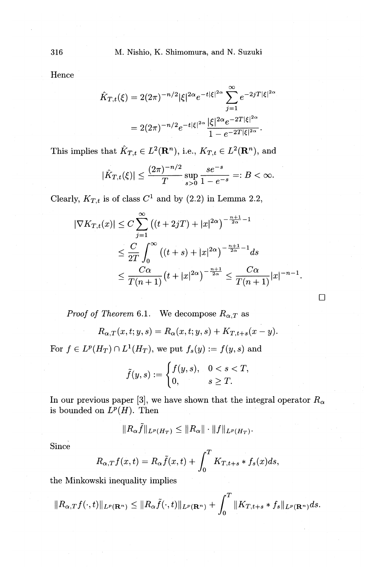Hence

$$
\hat{K}_{T,t}(\xi) = 2(2\pi)^{-n/2} |\xi|^{2\alpha} e^{-t|\xi|^{2\alpha}} \sum_{j=1}^{\infty} e^{-2jT|\xi|^{2\alpha}}
$$

$$
= 2(2\pi)^{-n/2} e^{-t|\xi|^{2\alpha}} \frac{|\xi|^{2\alpha} e^{-2T|\xi|^{2\alpha}}}{1 - e^{-2T|\xi|^{2\alpha}}}.
$$

This implies that  $\hat{K}_{T,t} \in L^2(\mathbf{R}^n)$ , i.e.,  $K_{T,t} \in L^2(\mathbf{R}^n)$ , and

$$
|\hat{K}_{T,t}(\xi)| \leq \frac{(2\pi)^{-n/2}}{T} \sup_{s>0} \frac{s e^{-s}}{1-e^{-s}} =: B < \infty.
$$

Clearly,  $K_{T,t}$  is of class  $C^1$  and by (2.2) in Lemma 2.2,

$$
|\nabla K_{T,t}(x)| \le C \sum_{j=1}^{\infty} \left( (t+2jT) + |x|^{2\alpha} \right)^{-\frac{n+1}{2\alpha}-1}
$$
  
\n
$$
\le \frac{C}{2T} \int_0^{\infty} \left( (t+s) + |x|^{2\alpha} \right)^{-\frac{n+1}{2\alpha}-1} ds
$$
  
\n
$$
\le \frac{C\alpha}{T(n+1)} \left( t + |x|^{2\alpha} \right)^{-\frac{n+1}{2\alpha}} \le \frac{C\alpha}{T(n+1)} |x|^{-n-1}.
$$

 $\Box$ 

*Proof of Theorem 6.1.* We decompose  $R_{\alpha,T}$  as

$$
R_{\alpha,T}(x,t;y,s) = R_{\alpha}(x,t;y,s) + K_{T,t+s}(x-y).
$$

For  $f \in L^p(H_T) \cap L^1(H_T)$ , we put  $f_s(y) := f(y, s)$  and

$$
\tilde{f}(y,s) := \begin{cases} f(y,s), & 0 < s < T, \\ 0, & s \geq T. \end{cases}
$$

In our previous paper [3], we have shown that the integral operator  $R_{\alpha}$ is bounded on  $L^p(H)$ . Then

$$
||R_{\alpha}\tilde{f}||_{L^p(H_T)} \leq ||R_{\alpha}|| \cdot ||f||_{L^p(H_T)}.
$$

Since

$$
R_{\alpha,T}f(x,t) = R_{\alpha}\tilde{f}(x,t) + \int_0^T K_{T,t+s} * f_s(x)ds,
$$

the Minkowski inequality implies

$$
||R_{\alpha,T}f(\cdot,t)||_{L^p(\mathbf{R}^n)} \leq ||R_\alpha \tilde{f}(\cdot,t)||_{L^p(\mathbf{R}^n)} + \int_0^T ||K_{T,t+s}*f_s||_{L^p(\mathbf{R}^n)}ds.
$$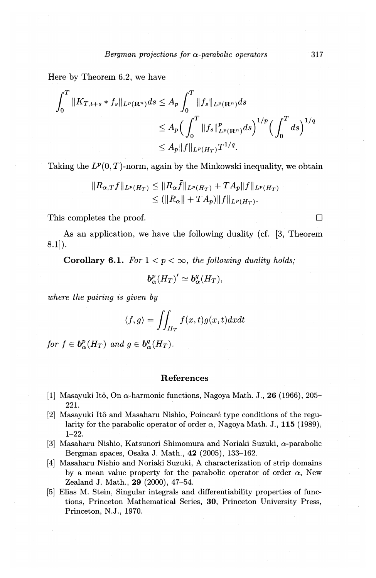Here by Theorem 6.2, we have

$$
\int_0^T \|K_{T,t+s} * f_s\|_{L^p(\mathbf{R}^n)} ds \le A_p \int_0^T \|f_s\|_{L^p(\mathbf{R}^n)} ds
$$
  
\n
$$
\le A_p \Big( \int_0^T \|f_s\|_{L^p(\mathbf{R}^n)}^p ds \Big)^{1/p} \Big( \int_0^T ds \Big)^{1/q}
$$
  
\n
$$
\le A_p \|f\|_{L^p(H_T)} T^{1/q}.
$$

Taking the  $L^p(0,T)$ -norm, again by the Minkowski inequality, we obtain

$$
||R_{\alpha,T}f||_{L^p(H_T)} \leq ||R_{\alpha}\tilde{f}||_{L^p(H_T)} + T A_p||f||_{L^p(H_T)}
$$
  

$$
\leq (||R_{\alpha}|| + T A_p)||f||_{L^p(H_T)}.
$$

This completes the proof.  $\Box$ 

As an application, we have the following duality (cf. [3, Theorem 8.1]).

**Corollary 6.1.** For  $1 < p < \infty$ , the following duality holds;

$$
\boldsymbol{b}_{\alpha}^p (H_T)'\simeq \boldsymbol{b}_{\alpha}^q (H_T),
$$

*where the pairing is given by* 

$$
\langle f, g \rangle = \iint_{H_T} f(x, t) g(x, t) dx dt
$$

*for*  $f \in b^p_{\alpha}(H_T)$  *and*  $q \in b^q_{\alpha}(H_T)$ .

#### **References**

- [1) Masayuki Ito, On a-harmonic functions, Nagoya Math. J., **26** (1966), 205- 221.
- [2] Masayuki Itô and Masaharu Nishio, Poincaré type conditions of the regularity for the parabolic operator of order  $\alpha$ , Nagoya Math. J., **115** (1989), 1-22.
- [3) Masaharu Nishio, Katsunori Shimomura and Noriaki Suzuki, a-parabolic Bergman spaces, Osaka J. Math., **42** (2005), 133-162.
- [4) Masaharu Nishio and Noriaki Suzuki, A characterization of strip domains by a mean value property for the parabolic operator of order  $\alpha$ , New Zealand J. Math., **29** (2000), 47-54.
- [5) Elias M. Stein, Singular integrals and differentiability properties of functions, Princeton Mathematical Series, **30,** Princeton University Press, Princeton, N.J., 1970.